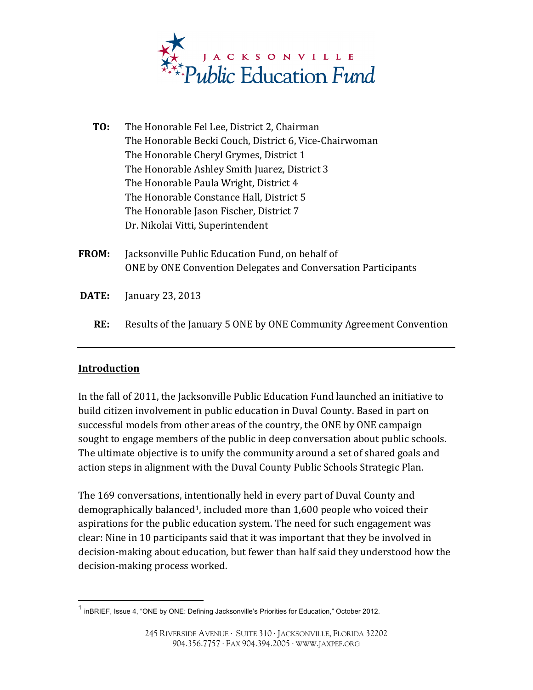

- **TO:** The Honorable Fel Lee, District 2, Chairman The Honorable Becki Couch, District 6, Vice-Chairwoman The Honorable Cheryl Grymes, District 1 The Honorable Ashley Smith Juarez, District 3 The Honorable Paula Wright, District 4 The Honorable Constance Hall, District 5 The Honorable Jason Fischer, District 7 Dr. Nikolai Vitti, Superintendent
- **FROM:** Jacksonville Public Education Fund, on behalf of ONE by ONE Convention Delegates and Conversation Participants
- **DATE:** January 23, 2013

 

**RE:** Results of the January 5 ONE by ONE Community Agreement Convention

#### **Introduction**

In the fall of 2011, the Jacksonville Public Education Fund launched an initiative to build citizen involvement in public education in Duval County. Based in part on successful models from other areas of the country, the ONE by ONE campaign sought to engage members of the public in deep conversation about public schools. The ultimate objective is to unify the community around a set of shared goals and action steps in alignment with the Duval County Public Schools Strategic Plan.

The 169 conversations, intentionally held in every part of Duval County and demographically balanced<sup>1</sup>, included more than  $1,600$  people who voiced their aspirations for the public education system. The need for such engagement was clear: Nine in 10 participants said that it was important that they be involved in decision-making about education, but fewer than half said they understood how the decision-making process worked.

<sup>&</sup>lt;sup>1</sup> inBRIEF, Issue 4, "ONE by ONE: Defining Jacksonville's Priorities for Education," October 2012.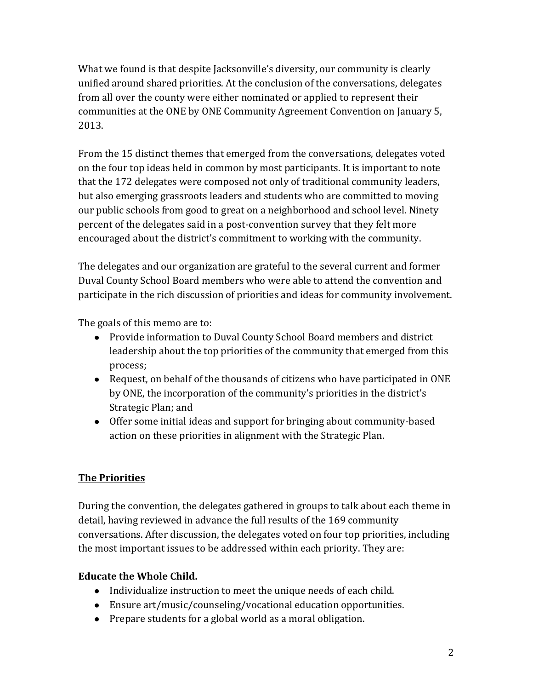What we found is that despite Jacksonville's diversity, our community is clearly unified around shared priorities. At the conclusion of the conversations, delegates from all over the county were either nominated or applied to represent their communities at the ONE by ONE Community Agreement Convention on January 5, 2013. 

From the 15 distinct themes that emerged from the conversations, delegates voted on the four top ideas held in common by most participants. It is important to note that the 172 delegates were composed not only of traditional community leaders, but also emerging grassroots leaders and students who are committed to moving our public schools from good to great on a neighborhood and school level. Ninety percent of the delegates said in a post-convention survey that they felt more encouraged about the district's commitment to working with the community.

The delegates and our organization are grateful to the several current and former Duval County School Board members who were able to attend the convention and participate in the rich discussion of priorities and ideas for community involvement.

The goals of this memo are to:

- Provide information to Duval County School Board members and district leadership about the top priorities of the community that emerged from this process;
- Request, on behalf of the thousands of citizens who have participated in ONE by ONE, the incorporation of the community's priorities in the district's Strategic Plan; and
- Offer some initial ideas and support for bringing about community-based action on these priorities in alignment with the Strategic Plan.

# **The Priorities**

During the convention, the delegates gathered in groups to talk about each theme in detail, having reviewed in advance the full results of the 169 community conversations. After discussion, the delegates voted on four top priorities, including the most important issues to be addressed within each priority. They are:

## **Educate the Whole Child.**

- Individualize instruction to meet the unique needs of each child.
- Ensure art/music/counseling/vocational education opportunities.
- Prepare students for a global world as a moral obligation.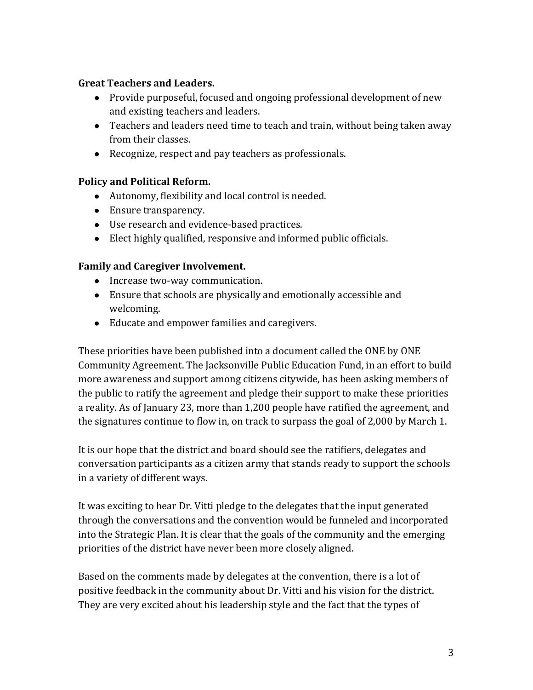#### **Great Teachers and Leaders.**

- Provide purposeful, focused and ongoing professional development of new and existing teachers and leaders.
- Teachers and leaders need time to teach and train, without being taken away from their classes.
- Recognize, respect and pay teachers as professionals.

## **Policy and Political Reform.**

- Autonomy, flexibility and local control is needed.
- Ensure transparency.
- Use research and evidence-based practices.
- $\bullet$  Elect highly qualified, responsive and informed public officials.

## Family and Caregiver Involvement.

- Increase two-way communication.
- $\bullet$  Ensure that schools are physically and emotionally accessible and welcoming.
- Educate and empower families and caregivers.

These priorities have been published into a document called the ONE by ONE Community Agreement. The Jacksonville Public Education Fund, in an effort to build more awareness and support among citizens citywide, has been asking members of the public to ratify the agreement and pledge their support to make these priorities a reality. As of January 23, more than 1,200 people have ratified the agreement, and the signatures continue to flow in, on track to surpass the goal of 2,000 by March 1.

It is our hope that the district and board should see the ratifiers, delegates and conversation participants as a citizen army that stands ready to support the schools in a variety of different ways.

It was exciting to hear Dr. Vitti pledge to the delegates that the input generated through the conversations and the convention would be funneled and incorporated into the Strategic Plan. It is clear that the goals of the community and the emerging priorities of the district have never been more closely aligned.

Based on the comments made by delegates at the convention, there is a lot of positive feedback in the community about Dr. Vitti and his vision for the district. They are very excited about his leadership style and the fact that the types of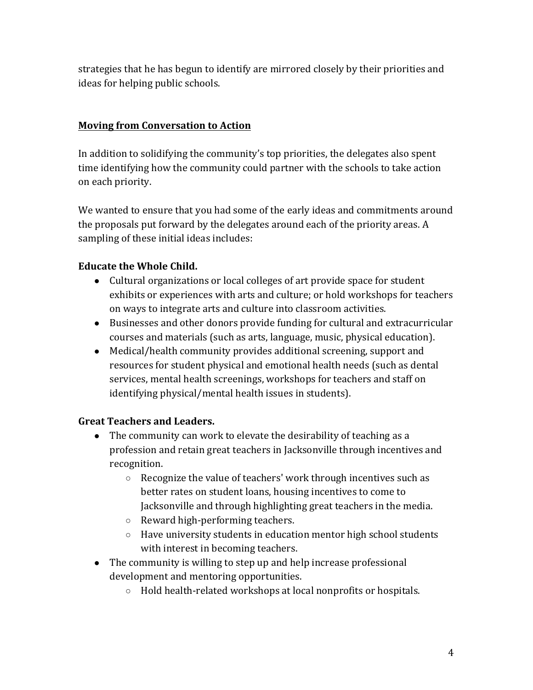strategies that he has begun to identify are mirrored closely by their priorities and ideas for helping public schools.

## **Moving from Conversation to Action**

In addition to solidifying the community's top priorities, the delegates also spent time identifying how the community could partner with the schools to take action on each priority.

We wanted to ensure that you had some of the early ideas and commitments around the proposals put forward by the delegates around each of the priority areas. A sampling of these initial ideas includes:

## **Educate the Whole Child.**

- Cultural organizations or local colleges of art provide space for student exhibits or experiences with arts and culture; or hold workshops for teachers on ways to integrate arts and culture into classroom activities.
- Businesses and other donors provide funding for cultural and extracurricular courses and materials (such as arts, language, music, physical education).
- Medical/health community provides additional screening, support and resources for student physical and emotional health needs (such as dental services, mental health screenings, workshops for teachers and staff on identifying physical/mental health issues in students).

## **Great Teachers and Leaders.**

- The community can work to elevate the desirability of teaching as a profession and retain great teachers in Jacksonville through incentives and recognition.
	- $\circ$  Recognize the value of teachers' work through incentives such as better rates on student loans, housing incentives to come to Jacksonville and through highlighting great teachers in the media.
	- $\circ$  Reward high-performing teachers.
	- $\circ$  Have university students in education mentor high school students with interest in becoming teachers.
- $\bullet$  The community is willing to step up and help increase professional development and mentoring opportunities.
	- $\circ$  Hold health-related workshops at local nonprofits or hospitals.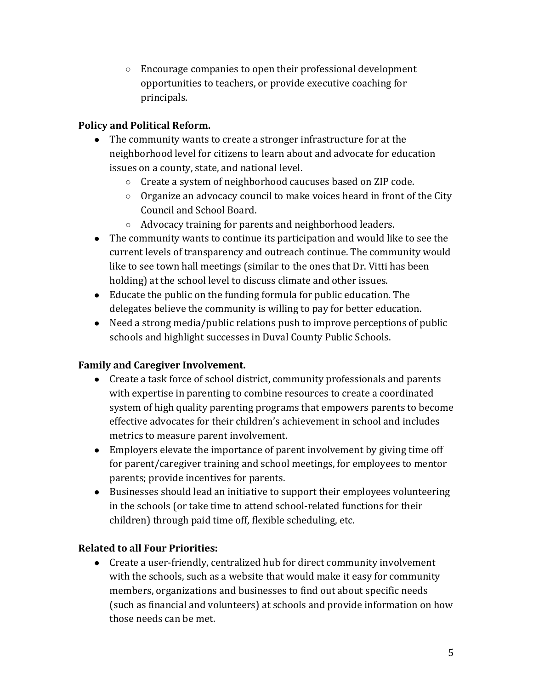$\circ$  Encourage companies to open their professional development opportunities to teachers, or provide executive coaching for principals.

# **Policy and Political Reform.**

- The community wants to create a stronger infrastructure for at the neighborhood level for citizens to learn about and advocate for education issues on a county, state, and national level.
	- $\circ$  Create a system of neighborhood caucuses based on ZIP code.
	- $\circ$  Organize an advocacy council to make voices heard in front of the City Council and School Board.
	- $\circ$  Advocacy training for parents and neighborhood leaders.
- The community wants to continue its participation and would like to see the current levels of transparency and outreach continue. The community would like to see town hall meetings (similar to the ones that Dr. Vitti has been holding) at the school level to discuss climate and other issues.
- $\bullet$  Educate the public on the funding formula for public education. The delegates believe the community is willing to pay for better education.
- Need a strong media/public relations push to improve perceptions of public schools and highlight successes in Duval County Public Schools.

## **Family and Caregiver Involvement.**

- Create a task force of school district, community professionals and parents with expertise in parenting to combine resources to create a coordinated system of high quality parenting programs that empowers parents to become effective advocates for their children's achievement in school and includes metrics to measure parent involvement.
- Employers elevate the importance of parent involvement by giving time off for parent/caregiver training and school meetings, for employees to mentor parents; provide incentives for parents.
- Businesses should lead an initiative to support their employees volunteering in the schools (or take time to attend school-related functions for their children) through paid time off, flexible scheduling, etc.

## **Related to all Four Priorities:**

• Create a user-friendly, centralized hub for direct community involvement with the schools, such as a website that would make it easy for community members, organizations and businesses to find out about specific needs (such as financial and volunteers) at schools and provide information on how those needs can be met.